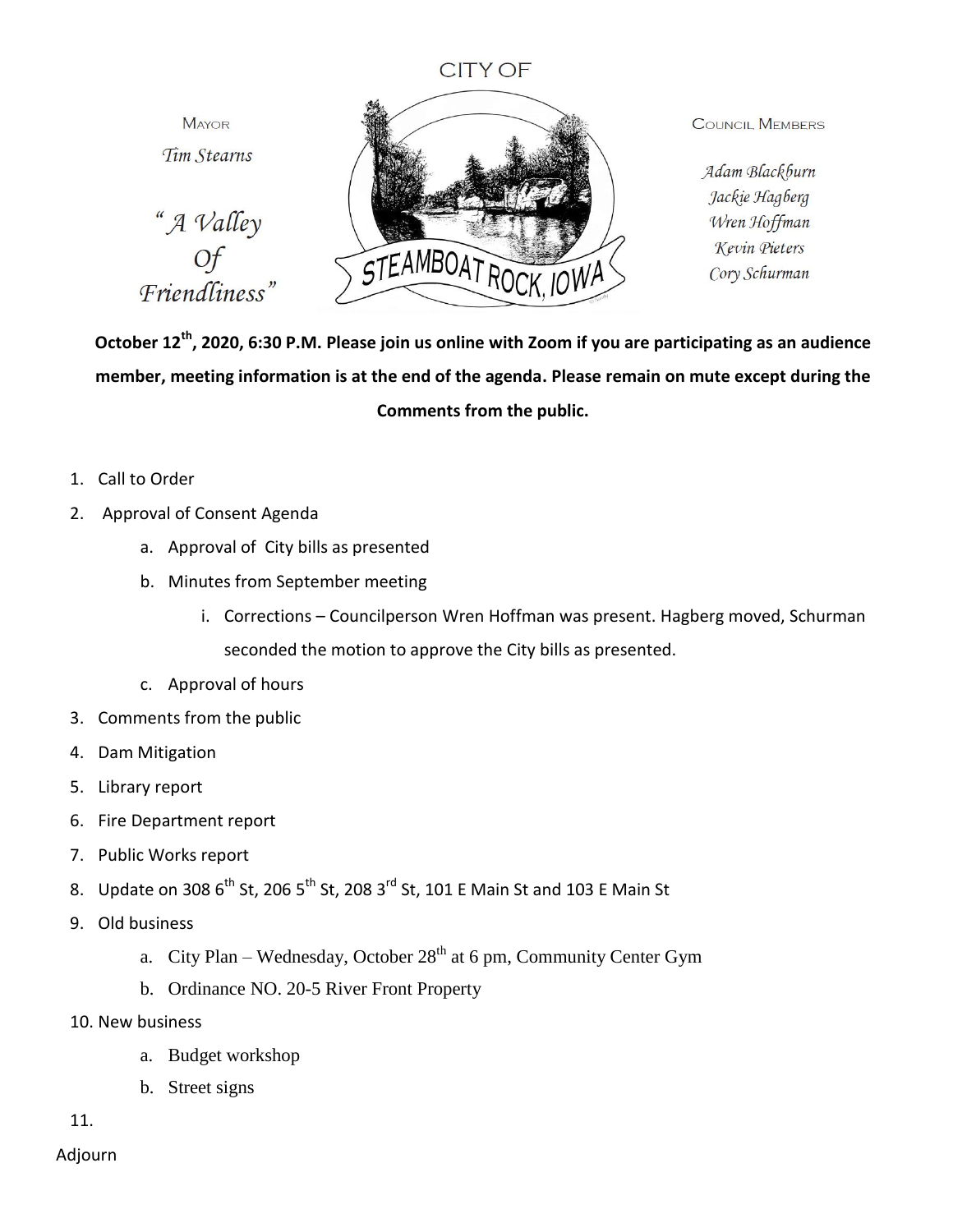## **CITY OF**

**MAYOR** Tim Stearns

"A Valley Friendliness"



**COUNCIL MEMBERS** 

Adam Blackburn Jackie Hagberg Wren Hoffman Kevin Pieters Cory Schurman

**October 12th, 2020, 6:30 P.M. Please join us online with Zoom if you are participating as an audience member, meeting information is at the end of the agenda. Please remain on mute except during the Comments from the public.**

- 1. Call to Order
- 2. Approval of Consent Agenda
	- a. Approval of City bills as presented
	- b. Minutes from September meeting
		- i. Corrections Councilperson Wren Hoffman was present. Hagberg moved, Schurman seconded the motion to approve the City bills as presented.
	- c. Approval of hours
- 3. Comments from the public
- 4. Dam Mitigation
- 5. Library report
- 6. Fire Department report
- 7. Public Works report
- 8. Update on 308  $6^{th}$  St, 206 5<sup>th</sup> St, 208 3<sup>rd</sup> St, 101 E Main St and 103 E Main St
- 9. Old business
	- a. City Plan Wednesday, October  $28<sup>th</sup>$  at 6 pm, Community Center Gym
	- b. Ordinance NO. 20-5 River Front Property
- 10. New business
	- a. Budget workshop
	- b. Street signs

11.

Adjourn